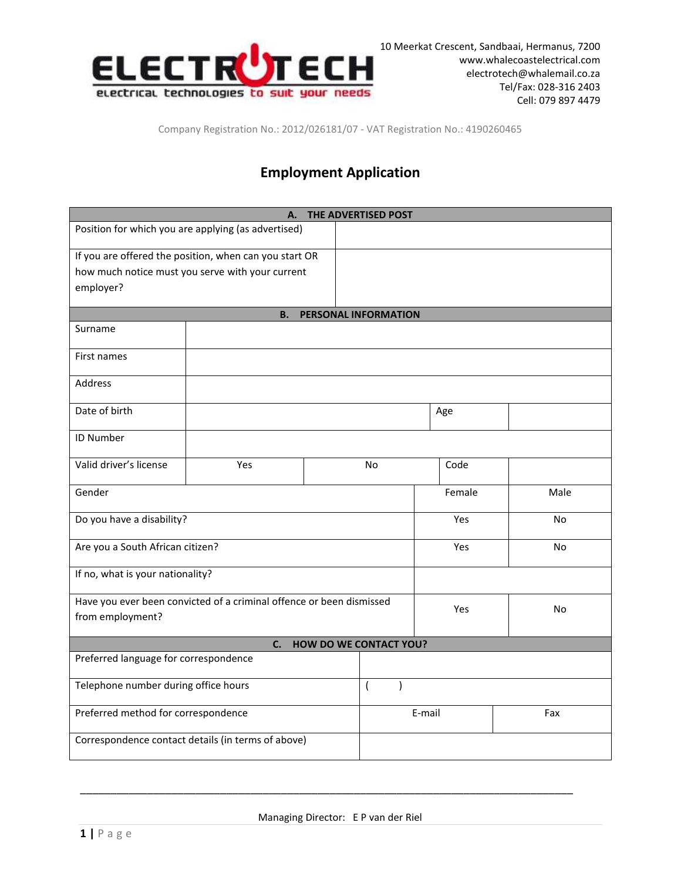

Company Registration No.: 2012/026181/07 - VAT Registration No.: 4190260465

## **Employment Application**

| THE ADVERTISED POST<br>А.                                                                |                                                        |  |                      |        |           |
|------------------------------------------------------------------------------------------|--------------------------------------------------------|--|----------------------|--------|-----------|
| Position for which you are applying (as advertised)                                      |                                                        |  |                      |        |           |
|                                                                                          | If you are offered the position, when can you start OR |  |                      |        |           |
|                                                                                          | how much notice must you serve with your current       |  |                      |        |           |
| employer?                                                                                |                                                        |  |                      |        |           |
|                                                                                          |                                                        |  |                      |        |           |
|                                                                                          | <b>B.</b>                                              |  | PERSONAL INFORMATION |        |           |
| Surname                                                                                  |                                                        |  |                      |        |           |
| First names                                                                              |                                                        |  |                      |        |           |
| <b>Address</b>                                                                           |                                                        |  |                      |        |           |
| Date of birth                                                                            | Age                                                    |  |                      |        |           |
| ID Number                                                                                |                                                        |  |                      |        |           |
| Valid driver's license                                                                   | Yes                                                    |  | <b>No</b>            | Code   |           |
| Gender                                                                                   |                                                        |  |                      | Female | Male      |
| Do you have a disability?                                                                |                                                        |  |                      | Yes    | <b>No</b> |
| Are you a South African citizen?                                                         |                                                        |  |                      | Yes    | <b>No</b> |
| If no, what is your nationality?                                                         |                                                        |  |                      |        |           |
| Have you ever been convicted of a criminal offence or been dismissed<br>from employment? |                                                        |  |                      | Yes    | <b>No</b> |
| <b>HOW DO WE CONTACT YOU?</b><br>C.                                                      |                                                        |  |                      |        |           |
| Preferred language for correspondence                                                    |                                                        |  |                      |        |           |
| Telephone number during office hours                                                     |                                                        |  | $\overline{(}$<br>١  |        |           |
| Preferred method for correspondence                                                      |                                                        |  |                      | E-mail | Fax       |
| Correspondence contact details (in terms of above)                                       |                                                        |  |                      |        |           |

\_\_\_\_\_\_\_\_\_\_\_\_\_\_\_\_\_\_\_\_\_\_\_\_\_\_\_\_\_\_\_\_\_\_\_\_\_\_\_\_\_\_\_\_\_\_\_\_\_\_\_\_\_\_\_\_\_\_\_\_\_\_\_\_\_\_\_\_\_\_\_\_\_\_\_\_\_\_\_\_\_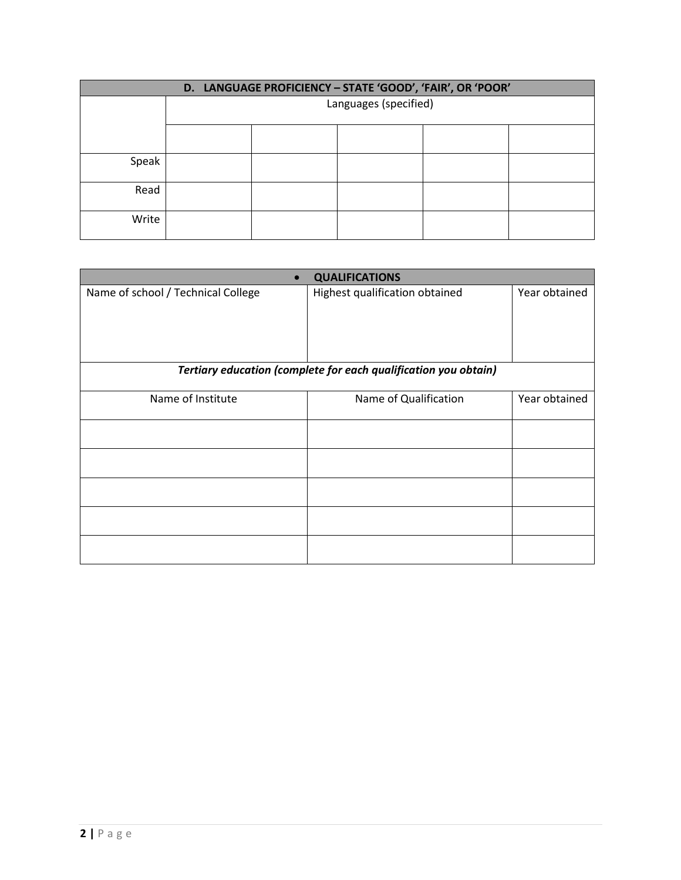| D. LANGUAGE PROFICIENCY - STATE 'GOOD', 'FAIR', OR 'POOR' |                       |  |  |  |  |
|-----------------------------------------------------------|-----------------------|--|--|--|--|
|                                                           | Languages (specified) |  |  |  |  |
|                                                           |                       |  |  |  |  |
| Speak                                                     |                       |  |  |  |  |
| Read                                                      |                       |  |  |  |  |
| Write                                                     |                       |  |  |  |  |

| <b>QUALIFICATIONS</b><br>$\bullet$                              |                                |               |  |  |  |
|-----------------------------------------------------------------|--------------------------------|---------------|--|--|--|
| Name of school / Technical College                              | Highest qualification obtained | Year obtained |  |  |  |
| Tertiary education (complete for each qualification you obtain) |                                |               |  |  |  |
| Name of Institute                                               | Name of Qualification          | Year obtained |  |  |  |
|                                                                 |                                |               |  |  |  |
|                                                                 |                                |               |  |  |  |
|                                                                 |                                |               |  |  |  |
|                                                                 |                                |               |  |  |  |
|                                                                 |                                |               |  |  |  |